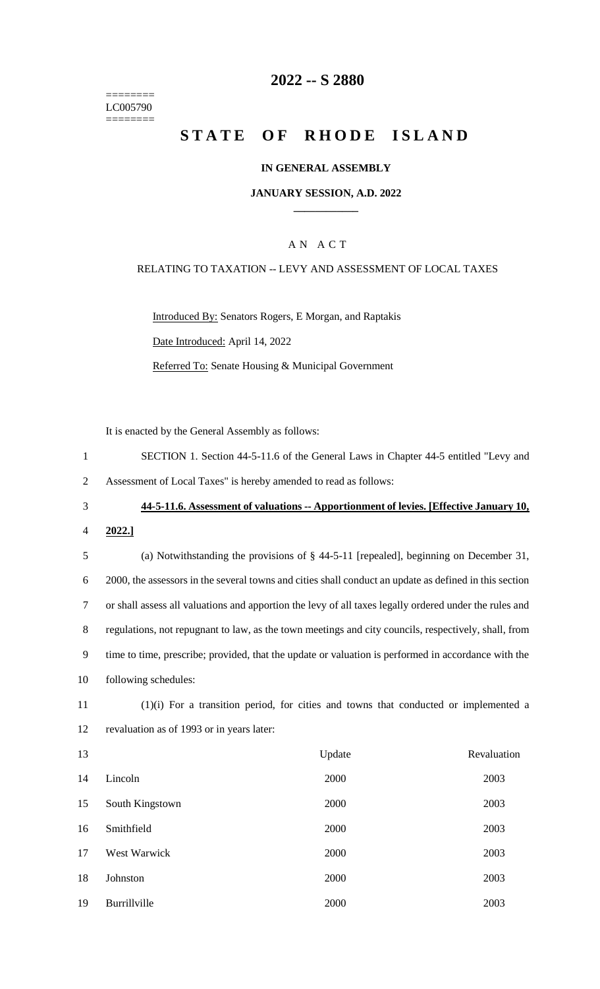======== LC005790 ========

## **-- S 2880**

# **STATE OF RHODE ISLAND**

#### **IN GENERAL ASSEMBLY**

#### **JANUARY SESSION, A.D. 2022 \_\_\_\_\_\_\_\_\_\_\_\_**

### A N A C T

#### RELATING TO TAXATION -- LEVY AND ASSESSMENT OF LOCAL TAXES

Introduced By: Senators Rogers, E Morgan, and Raptakis Date Introduced: April 14, 2022 Referred To: Senate Housing & Municipal Government

It is enacted by the General Assembly as follows:

 SECTION 1. Section 44-5-11.6 of the General Laws in Chapter 44-5 entitled "Levy and Assessment of Local Taxes" is hereby amended to read as follows:

## **44-5-11.6. Assessment of valuations -- Apportionment of levies. [Effective January 10,**

**2022.]**

 (a) Notwithstanding the provisions of § 44-5-11 [repealed], beginning on December 31, 2000, the assessors in the several towns and cities shall conduct an update as defined in this section or shall assess all valuations and apportion the levy of all taxes legally ordered under the rules and regulations, not repugnant to law, as the town meetings and city councils, respectively, shall, from time to time, prescribe; provided, that the update or valuation is performed in accordance with the following schedules:

 (1)(i) For a transition period, for cities and towns that conducted or implemented a revaluation as of 1993 or in years later:

| 13 |                 | Update | Revaluation |
|----|-----------------|--------|-------------|
| 14 | Lincoln         | 2000   | 2003        |
| 15 | South Kingstown | 2000   | 2003        |
| 16 | Smithfield      | 2000   | 2003        |
| 17 | West Warwick    | 2000   | 2003        |
| 18 | Johnston        | 2000   | 2003        |
| 19 | Burrillville    | 2000   | 2003        |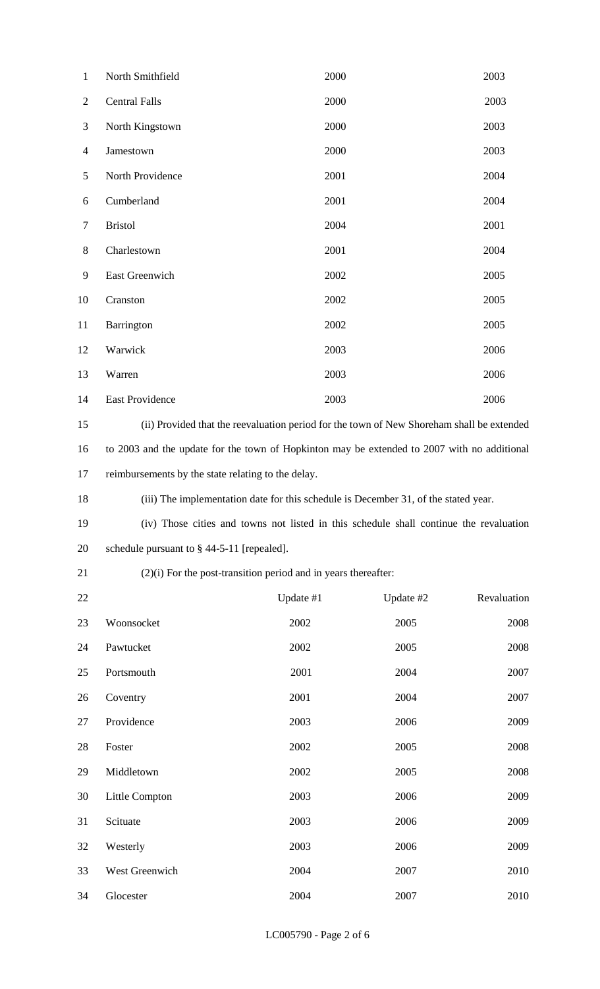| $\mathbf{1}$   | North Smithfield                                                                            | 2000 | 2003 |
|----------------|---------------------------------------------------------------------------------------------|------|------|
| $\overline{2}$ | <b>Central Falls</b>                                                                        | 2000 | 2003 |
| 3              | North Kingstown                                                                             | 2000 | 2003 |
| 4              | Jamestown                                                                                   | 2000 | 2003 |
| 5              | North Providence                                                                            | 2001 | 2004 |
| 6              | Cumberland                                                                                  | 2001 | 2004 |
| 7              | <b>Bristol</b>                                                                              | 2004 | 2001 |
| 8              | Charlestown                                                                                 | 2001 | 2004 |
| 9              | East Greenwich                                                                              | 2002 | 2005 |
| 10             | Cranston                                                                                    | 2002 | 2005 |
| 11             | Barrington                                                                                  | 2002 | 2005 |
| 12             | Warwick                                                                                     | 2003 | 2006 |
| 13             | Warren                                                                                      | 2003 | 2006 |
| 14             | <b>East Providence</b>                                                                      | 2003 | 2006 |
| 15             | (ii) Provided that the reevaluation period for the town of New Shoreham shall be extended   |      |      |
| 16             | to 2003 and the update for the town of Hopkinton may be extended to 2007 with no additional |      |      |
| 17             | reimbursements by the state relating to the delay.                                          |      |      |
|                |                                                                                             |      |      |

| 18 | (iii) The implementation date for this schedule is December 31, of the stated year. |
|----|-------------------------------------------------------------------------------------|
|----|-------------------------------------------------------------------------------------|

 (iv) Those cities and towns not listed in this schedule shall continue the revaluation schedule pursuant to § 44-5-11 [repealed].

## (2)(i) For the post-transition period and in years thereafter:

| 22 |                | Update #1 | Update #2 | Revaluation |
|----|----------------|-----------|-----------|-------------|
| 23 | Woonsocket     | 2002      | 2005      | 2008        |
| 24 | Pawtucket      | 2002      | 2005      | 2008        |
| 25 | Portsmouth     | 2001      | 2004      | 2007        |
| 26 | Coventry       | 2001      | 2004      | 2007        |
| 27 | Providence     | 2003      | 2006      | 2009        |
| 28 | Foster         | 2002      | 2005      | 2008        |
| 29 | Middletown     | 2002      | 2005      | 2008        |
| 30 | Little Compton | 2003      | 2006      | 2009        |
| 31 | Scituate       | 2003      | 2006      | 2009        |
| 32 | Westerly       | 2003      | 2006      | 2009        |
| 33 | West Greenwich | 2004      | 2007      | 2010        |
| 34 | Glocester      | 2004      | 2007      | 2010        |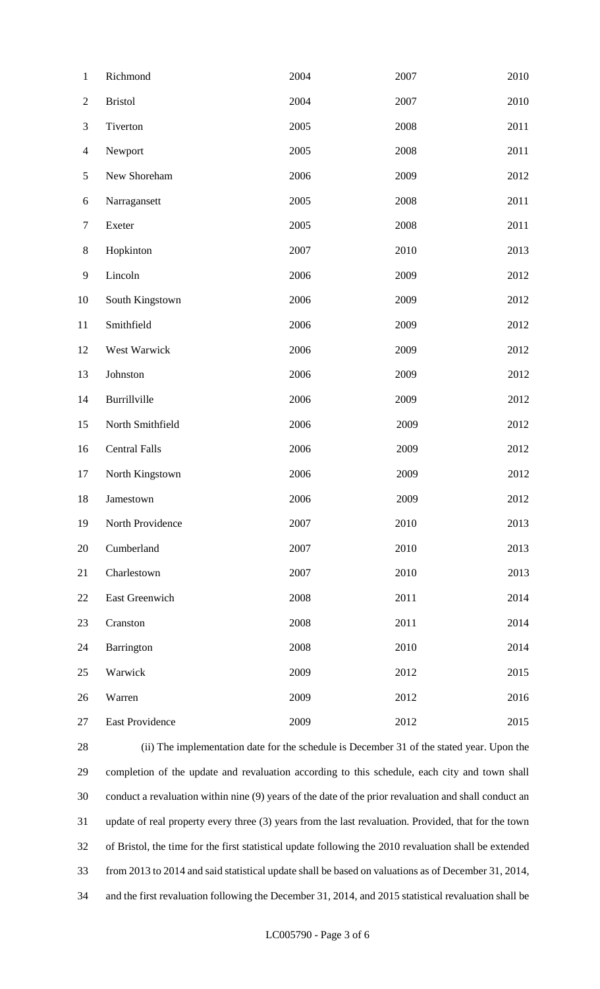| $\mathbf{1}$   | Richmond             | 2004 | 2007 | 2010 |
|----------------|----------------------|------|------|------|
| $\overline{c}$ | <b>Bristol</b>       | 2004 | 2007 | 2010 |
| 3              | Tiverton             | 2005 | 2008 | 2011 |
| $\overline{4}$ | Newport              | 2005 | 2008 | 2011 |
| 5              | New Shoreham         | 2006 | 2009 | 2012 |
| 6              | Narragansett         | 2005 | 2008 | 2011 |
| $\tau$         | Exeter               | 2005 | 2008 | 2011 |
| $8\,$          | Hopkinton            | 2007 | 2010 | 2013 |
| 9              | Lincoln              | 2006 | 2009 | 2012 |
| 10             | South Kingstown      | 2006 | 2009 | 2012 |
| 11             | Smithfield           | 2006 | 2009 | 2012 |
| 12             | West Warwick         | 2006 | 2009 | 2012 |
| 13             | Johnston             | 2006 | 2009 | 2012 |
| 14             | Burrillville         | 2006 | 2009 | 2012 |
| 15             | North Smithfield     | 2006 | 2009 | 2012 |
| 16             | <b>Central Falls</b> | 2006 | 2009 | 2012 |
| 17             | North Kingstown      | 2006 | 2009 | 2012 |
| 18             | Jamestown            | 2006 | 2009 | 2012 |
| 19             | North Providence     | 2007 | 2010 | 2013 |
| 20             | Cumberland           | 2007 | 2010 | 2013 |
| 21             | Charlestown          | 2007 | 2010 | 2013 |
| 22             | East Greenwich       | 2008 | 2011 | 2014 |
| 23             | Cranston             | 2008 | 2011 | 2014 |
| 24             | Barrington           | 2008 | 2010 | 2014 |
| 25             | Warwick              | 2009 | 2012 | 2015 |
| 26             | Warren               | 2009 | 2012 | 2016 |
| 27             | East Providence      | 2009 | 2012 | 2015 |

 (ii) The implementation date for the schedule is December 31 of the stated year. Upon the completion of the update and revaluation according to this schedule, each city and town shall conduct a revaluation within nine (9) years of the date of the prior revaluation and shall conduct an update of real property every three (3) years from the last revaluation. Provided, that for the town of Bristol, the time for the first statistical update following the 2010 revaluation shall be extended from 2013 to 2014 and said statistical update shall be based on valuations as of December 31, 2014, and the first revaluation following the December 31, 2014, and 2015 statistical revaluation shall be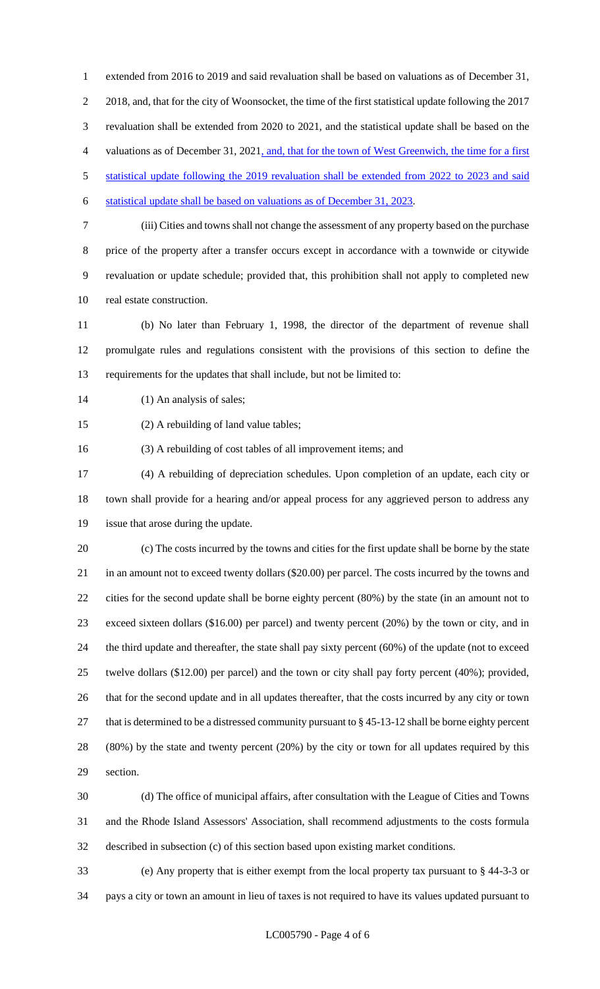extended from 2016 to 2019 and said revaluation shall be based on valuations as of December 31, 2018, and, that for the city of Woonsocket, the time of the first statistical update following the 2017 revaluation shall be extended from 2020 to 2021, and the statistical update shall be based on the valuations as of December 31, 2021, and, that for the town of West Greenwich, the time for a first 5 statistical update following the 2019 revaluation shall be extended from 2022 to 2023 and said statistical update shall be based on valuations as of December 31, 2023.

 (iii) Cities and towns shall not change the assessment of any property based on the purchase price of the property after a transfer occurs except in accordance with a townwide or citywide revaluation or update schedule; provided that, this prohibition shall not apply to completed new real estate construction.

 (b) No later than February 1, 1998, the director of the department of revenue shall promulgate rules and regulations consistent with the provisions of this section to define the requirements for the updates that shall include, but not be limited to:

- 14 (1) An analysis of sales;
- (2) A rebuilding of land value tables;

(3) A rebuilding of cost tables of all improvement items; and

 (4) A rebuilding of depreciation schedules. Upon completion of an update, each city or town shall provide for a hearing and/or appeal process for any aggrieved person to address any issue that arose during the update.

 (c) The costs incurred by the towns and cities for the first update shall be borne by the state in an amount not to exceed twenty dollars (\$20.00) per parcel. The costs incurred by the towns and cities for the second update shall be borne eighty percent (80%) by the state (in an amount not to exceed sixteen dollars (\$16.00) per parcel) and twenty percent (20%) by the town or city, and in the third update and thereafter, the state shall pay sixty percent (60%) of the update (not to exceed twelve dollars (\$12.00) per parcel) and the town or city shall pay forty percent (40%); provided, that for the second update and in all updates thereafter, that the costs incurred by any city or town 27 that is determined to be a distressed community pursuant to § 45-13-12 shall be borne eighty percent (80%) by the state and twenty percent (20%) by the city or town for all updates required by this section.

 (d) The office of municipal affairs, after consultation with the League of Cities and Towns and the Rhode Island Assessors' Association, shall recommend adjustments to the costs formula described in subsection (c) of this section based upon existing market conditions.

 (e) Any property that is either exempt from the local property tax pursuant to § 44-3-3 or pays a city or town an amount in lieu of taxes is not required to have its values updated pursuant to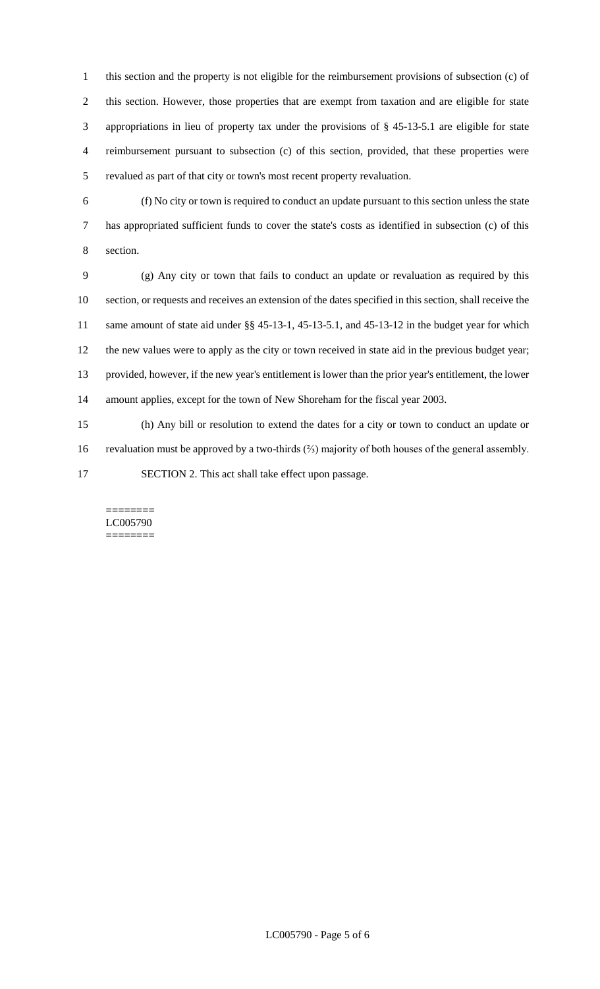this section and the property is not eligible for the reimbursement provisions of subsection (c) of this section. However, those properties that are exempt from taxation and are eligible for state appropriations in lieu of property tax under the provisions of § 45-13-5.1 are eligible for state reimbursement pursuant to subsection (c) of this section, provided, that these properties were revalued as part of that city or town's most recent property revaluation.

 (f) No city or town is required to conduct an update pursuant to this section unless the state has appropriated sufficient funds to cover the state's costs as identified in subsection (c) of this section.

 (g) Any city or town that fails to conduct an update or revaluation as required by this section, or requests and receives an extension of the dates specified in this section, shall receive the same amount of state aid under §§ 45-13-1, 45-13-5.1, and 45-13-12 in the budget year for which the new values were to apply as the city or town received in state aid in the previous budget year; provided, however, if the new year's entitlement is lower than the prior year's entitlement, the lower amount applies, except for the town of New Shoreham for the fiscal year 2003.

 (h) Any bill or resolution to extend the dates for a city or town to conduct an update or revaluation must be approved by a two-thirds (⅔) majority of both houses of the general assembly. SECTION 2. This act shall take effect upon passage.

======== LC005790 ========